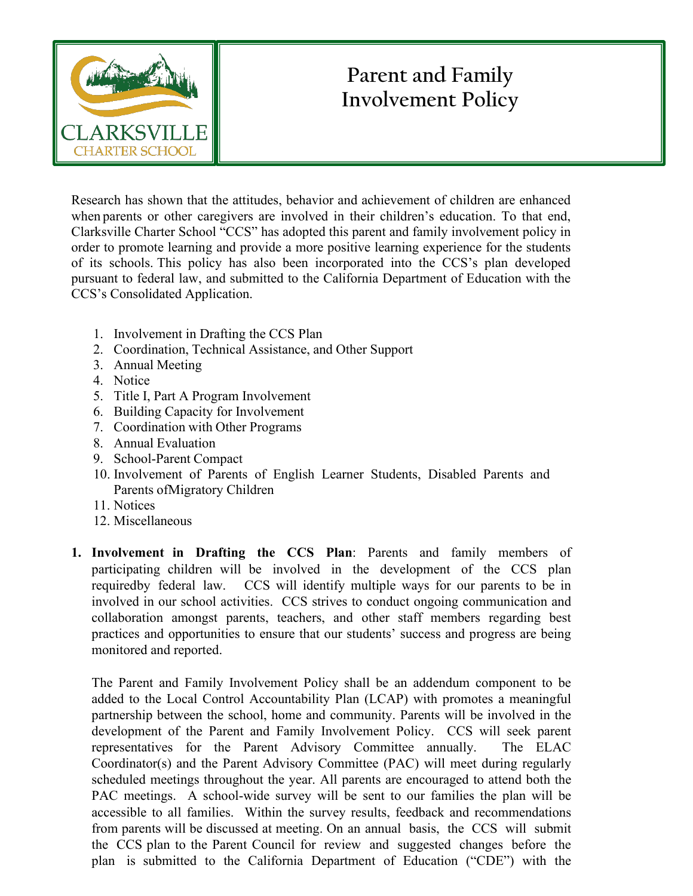

# **Parent and Family Involvement Policy**

Research has shown that the attitudes, behavior and achievement of children are enhanced when parents or other caregivers are involved in their children's education. To that end, Clarksville Charter School "CCS" has adopted this parent and family involvement policy in order to promote learning and provide a more positive learning experience for the students of its schools. This policy has also been incorporated into the CCS's plan developed pursuant to federal law, and submitted to the California Department of Education with the CCS's Consolidated Application.

- 1. Involvement in Drafting the CCS Plan
- 2. Coordination, Technical Assistance, and Other Support
- 3. Annual Meeting
- 4. Notice
- 5. Title I, Part A Program Involvement
- 6. Building Capacity for Involvement
- 7. Coordination with Other Programs
- 8. Annual Evaluation
- 9. School-Parent Compact
- 10. Involvement of Parents of English Learner Students, Disabled Parents and Parents ofMigratory Children
- 11. Notices
- 12. Miscellaneous
- **1. Involvement in Drafting the CCS Plan**: Parents and family members of participating children will be involved in the development of the CCS plan requiredby federal law. CCS will identify multiple ways for our parents to be in involved in our school activities. CCS strives to conduct ongoing communication and collaboration amongst parents, teachers, and other staff members regarding best practices and opportunities to ensure that our students' success and progress are being monitored and reported.

The Parent and Family Involvement Policy shall be an addendum component to be added to the Local Control Accountability Plan (LCAP) with promotes a meaningful partnership between the school, home and community. Parents will be involved in the development of the Parent and Family Involvement Policy. CCS will seek parent representatives for the Parent Advisory Committee annually. The ELAC Coordinator(s) and the Parent Advisory Committee (PAC) will meet during regularly scheduled meetings throughout the year. All parents are encouraged to attend both the PAC meetings. A school-wide survey will be sent to our families the plan will be accessible to all families. Within the survey results, feedback and recommendations from parents will be discussed at meeting. On an annual basis, the CCS will submit the CCS plan to the Parent Council for review and suggested changes before the plan is submitted to the California Department of Education ("CDE") with the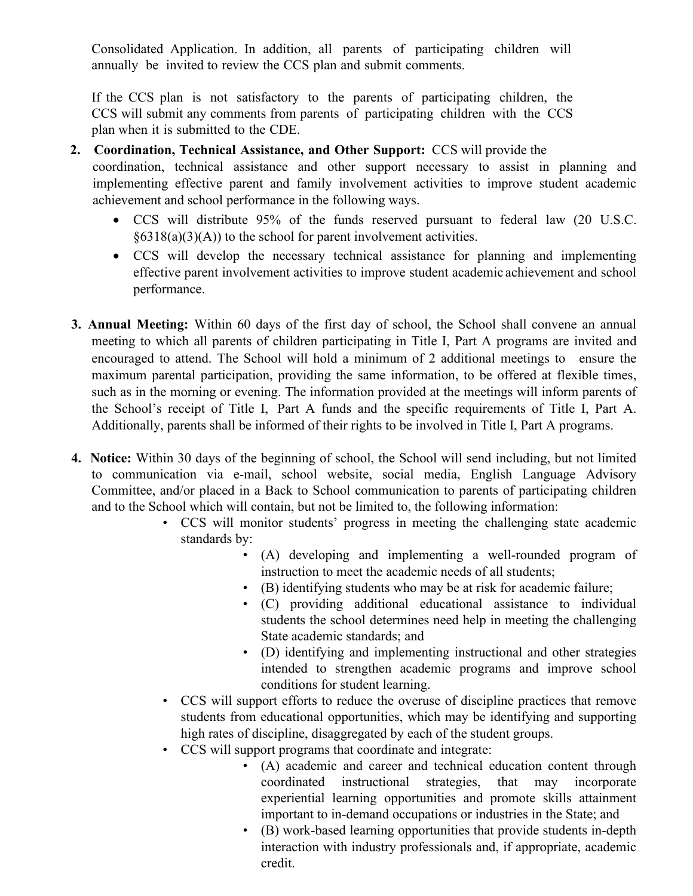Consolidated Application. In addition, all parents of participating children will annually be invited to review the CCS plan and submit comments.

If the CCS plan is not satisfactory to the parents of participating children, the CCS will submit any comments from parents of participating children with the CCS plan when it is submitted to the CDE.

- **2. Coordination, Technical Assistance, and Other Support:** CCS will provide the coordination, technical assistance and other support necessary to assist in planning and implementing effective parent and family involvement activities to improve student academic achievement and school performance in the following ways.
	- CCS will distribute 95% of the funds reserved pursuant to federal law (20 U.S.C.  $§6318(a)(3)(A)$  to the school for parent involvement activities.
	- CCS will develop the necessary technical assistance for planning and implementing effective parent involvement activities to improve student academic achievement and school performance.
- **3. Annual Meeting:** Within 60 days of the first day of school, the School shall convene an annual meeting to which all parents of children participating in Title I, Part A programs are invited and encouraged to attend. The School will hold a minimum of 2 additional meetings to ensure the maximum parental participation, providing the same information, to be offered at flexible times, such as in the morning or evening. The information provided at the meetings will inform parents of the School's receipt of Title I, Part A funds and the specific requirements of Title I, Part A. Additionally, parents shall be informed of their rights to be involved in Title I, Part A programs.
- **4. Notice:** Within 30 days of the beginning of school, the School will send including, but not limited to communication via e-mail, school website, social media, English Language Advisory Committee, and/or placed in a Back to School communication to parents of participating children and to the School which will contain, but not be limited to, the following information:
	- CCS will monitor students' progress in meeting the challenging state academic standards by:
		- (A) developing and implementing a well-rounded program of instruction to meet the academic needs of all students;
		- (B) identifying students who may be at risk for academic failure;
		- (C) providing additional educational assistance to individual students the school determines need help in meeting the challenging State academic standards; and
		- (D) identifying and implementing instructional and other strategies intended to strengthen academic programs and improve school conditions for student learning.
	- CCS will support efforts to reduce the overuse of discipline practices that remove students from educational opportunities, which may be identifying and supporting high rates of discipline, disaggregated by each of the student groups.
	- CCS will support programs that coordinate and integrate:
		- (A) academic and career and technical education content through coordinated instructional strategies, that may incorporate experiential learning opportunities and promote skills attainment important to in-demand occupations or industries in the State; and
		- (B) work-based learning opportunities that provide students in-depth interaction with industry professionals and, if appropriate, academic credit.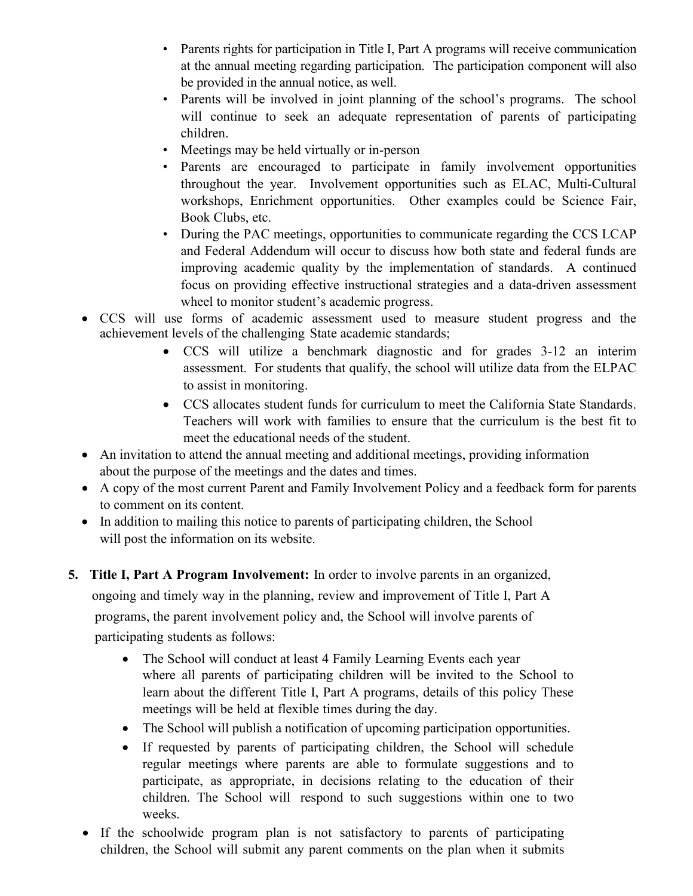- Parents rights for participation in Title I, Part A programs will receive communication at the annual meeting regarding participation. The participation component will also be provided in the annual notice, as well.
- Parents will be involved in joint planning of the school's programs. The school will continue to seek an adequate representation of parents of participating children.
- Meetings may be held virtually or in-person
- Parents are encouraged to participate in family involvement opportunities throughout the year. Involvement opportunities such as ELAC, Multi-Cultural workshops, Enrichment opportunities. Other examples could be Science Fair, Book Clubs, etc.
- During the PAC meetings, opportunities to communicate regarding the CCS LCAP and Federal Addendum will occur to discuss how both state and federal funds are improving academic quality by the implementation of standards. A continued focus on providing effective instructional strategies and a data-driven assessment wheel to monitor student's academic progress.
- CCS will use forms of academic assessment used to measure student progress and the achievement levels of the challenging State academic standards;
	- CCS will utilize a benchmark diagnostic and for grades 3-12 an interim assessment. For students that qualify, the school will utilize data from the ELPAC to assist in monitoring.
	- CCS allocates student funds for curriculum to meet the California State Standards. Teachers will work with families to ensure that the curriculum is the best fit to meet the educational needs of the student.
- An invitation to attend the annual meeting and additional meetings, providing information about the purpose of the meetings and the dates and times.
- A copy of the most current Parent and Family Involvement Policy and a feedback form for parents to comment on its content.
- In addition to mailing this notice to parents of participating children, the School will post the information on its website.
- **5. Title I, Part A Program Involvement:** In order to involve parents in an organized, ongoing and timely way in the planning, review and improvement of Title I, Part A programs, the parent involvement policy and, the School will involve parents of

participating students as follows:

- The School will conduct at least 4 Family Learning Events each year where all parents of participating children will be invited to the School to learn about the different Title I, Part A programs, details of this policy These meetings will be held at flexible times during the day.
- The School will publish a notification of upcoming participation opportunities.
- If requested by parents of participating children, the School will schedule regular meetings where parents are able to formulate suggestions and to participate, as appropriate, in decisions relating to the education of their children. The School will respond to such suggestions within one to two weeks.
- If the schoolwide program plan is not satisfactory to parents of participating children, the School will submit any parent comments on the plan when it submits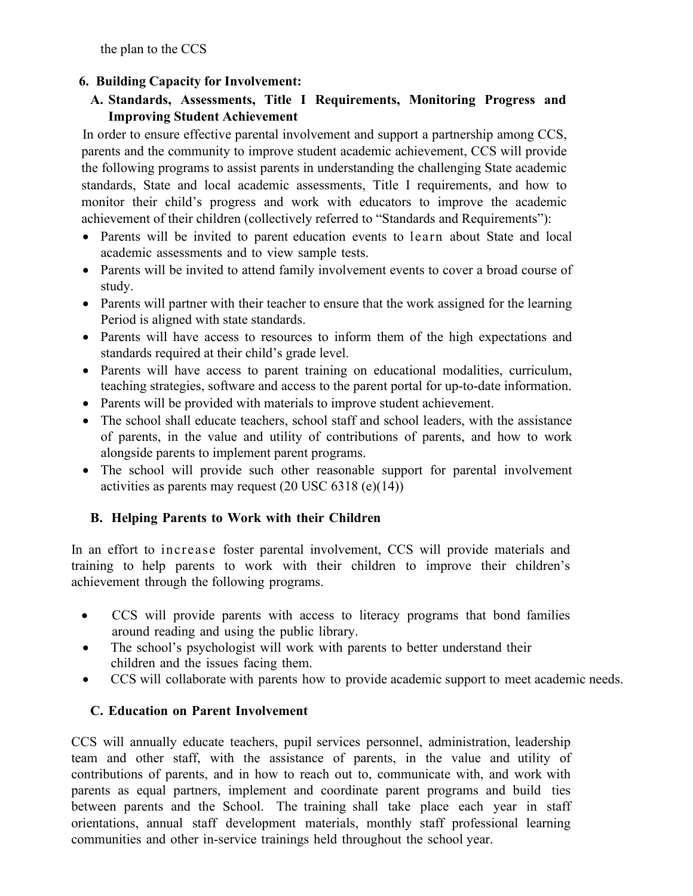the plan to the CCS

## **6. Building Capacity for Involvement:**

## **A. Standards, Assessments, Title I Requirements, Monitoring Progress and Improving Student Achievement**

In order to ensure effective parental involvement and support a partnership among CCS, parents and the community to improve student academic achievement, CCS will provide the following programs to assist parents in understanding the challenging State academic standards, State and local academic assessments, Title I requirements, and how to monitor their child's progress and work with educators to improve the academic achievement of their children (collectively referred to "Standards and Requirements"):

- Parents will be invited to parent education events to learn about State and local academic assessments and to view sample tests.
- Parents will be invited to attend family involvement events to cover a broad course of study.
- Parents will partner with their teacher to ensure that the work assigned for the learning Period is aligned with state standards.
- Parents will have access to resources to inform them of the high expectations and standards required at their child's grade level.
- Parents will have access to parent training on educational modalities, curriculum, teaching strategies, software and access to the parent portal for up-to-date information.
- Parents will be provided with materials to improve student achievement.
- The school shall educate teachers, school staff and school leaders, with the assistance of parents, in the value and utility of contributions of parents, and how to work alongside parents to implement parent programs.
- The school will provide such other reasonable support for parental involvement activities as parents may request (20 USC 6318 (e)(14))

# **B. Helping Parents to Work with their Children**

In an effort to increase foster parental involvement, CCS will provide materials and training to help parents to work with their children to improve their children's achievement through the following programs.

- CCS will provide parents with access to literacy programs that bond families around reading and using the public library.
- The school's psychologist will work with parents to better understand their children and the issues facing them.
- CCS will collaborate with parents how to provide academic support to meet academic needs.

### **C. Education on Parent Involvement**

CCS will annually educate teachers, pupil services personnel, administration, leadership team and other staff, with the assistance of parents, in the value and utility of contributions of parents, and in how to reach out to, communicate with, and work with parents as equal partners, implement and coordinate parent programs and build ties between parents and the School. The training shall take place each year in staff orientations, annual staff development materials, monthly staff professional learning communities and other in-service trainings held throughout the school year.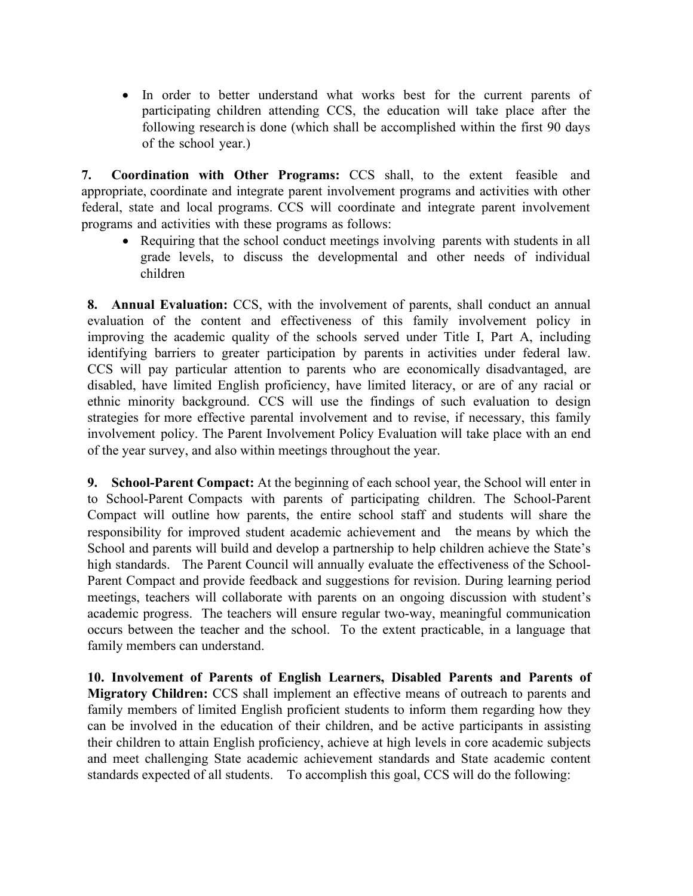• In order to better understand what works best for the current parents of participating children attending CCS, the education will take place after the following research is done (which shall be accomplished within the first 90 days of the school year.)

**7. Coordination with Other Programs:** CCS shall, to the extent feasible and appropriate, coordinate and integrate parent involvement programs and activities with other federal, state and local programs. CCS will coordinate and integrate parent involvement programs and activities with these programs as follows:

• Requiring that the school conduct meetings involving parents with students in all grade levels, to discuss the developmental and other needs of individual children

**8. Annual Evaluation:** CCS, with the involvement of parents, shall conduct an annual evaluation of the content and effectiveness of this family involvement policy in improving the academic quality of the schools served under Title I, Part A, including identifying barriers to greater participation by parents in activities under federal law. CCS will pay particular attention to parents who are economically disadvantaged, are disabled, have limited English proficiency, have limited literacy, or are of any racial or ethnic minority background. CCS will use the findings of such evaluation to design strategies for more effective parental involvement and to revise, if necessary, this family involvement policy. The Parent Involvement Policy Evaluation will take place with an end of the year survey, and also within meetings throughout the year.

**9. School-Parent Compact:** At the beginning of each school year, the School will enter in to School-Parent Compacts with parents of participating children. The School-Parent Compact will outline how parents, the entire school staff and students will share the responsibility for improved student academic achievement and the means by which the School and parents will build and develop a partnership to help children achieve the State's high standards. The Parent Council will annually evaluate the effectiveness of the School-Parent Compact and provide feedback and suggestions for revision. During learning period meetings, teachers will collaborate with parents on an ongoing discussion with student's academic progress. The teachers will ensure regular two-way, meaningful communication occurs between the teacher and the school. To the extent practicable, in a language that family members can understand.

**10. Involvement of Parents of English Learners, Disabled Parents and Parents of Migratory Children:** CCS shall implement an effective means of outreach to parents and family members of limited English proficient students to inform them regarding how they can be involved in the education of their children, and be active participants in assisting their children to attain English proficiency, achieve at high levels in core academic subjects and meet challenging State academic achievement standards and State academic content standards expected of all students. To accomplish this goal, CCS will do the following: